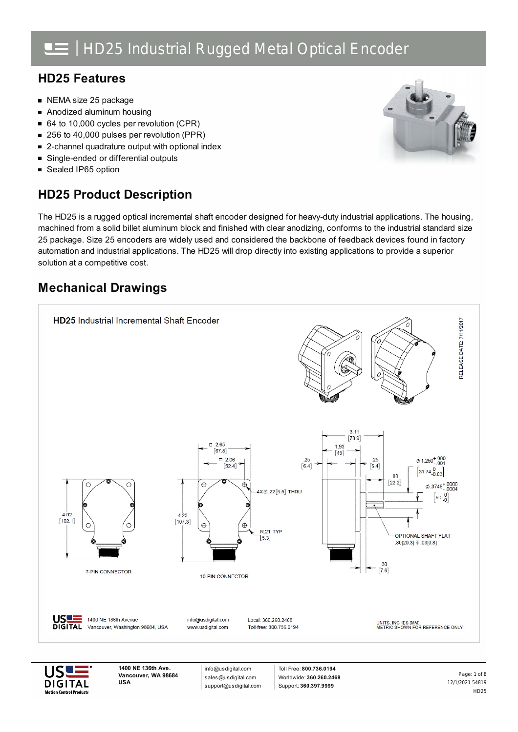### **HD25 Features**

- NEMA size 25 package
- Anodized aluminum housing  $\blacksquare$
- 64 to 10,000 cycles per revolution (CPR)
- 256 to 40,000 pulses per revolution (PPR)  $\blacksquare$
- 2-channel quadrature output with optional index  $\blacksquare$
- Single-ended or differential outputs  $\blacksquare$
- Sealed IP65 option

## **HD25 Product Description**



The HD25 is a rugged optical incremental shaft encoder designed for heavy-duty industrial applications. The housing, machined from a solid billet aluminum block and finished with clear anodizing, conforms to the industrial standard size 25 package. Size 25 encoders are widely used and considered the backbone of feedback devices found in factory automation and industrial applications. The HD25 will drop directly into existing applications to provide a superior solution at a competitive cost.

## **Mechanical Drawings**





**1400 NE 136th Ave. Vancouver, WA 98684 USA**

info@usdigital.com sales@usdigital.com support@usdigital.com

Toll Free: **800.736.0194** Worldwide: **360.260.2468** Support: **360.397.9999**

12/1/2021 54819 HD25 Page: 1 of 8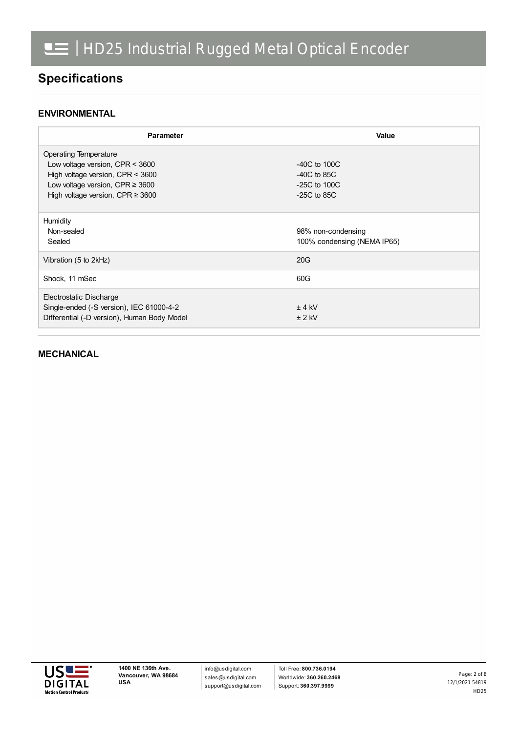## **Specifications**

### **ENVIRONMENTAL**

| Parameter                                   | <b>Value</b>                                      |
|---------------------------------------------|---------------------------------------------------|
| Operating Temperature                       |                                                   |
| Low voltage version, $CPR < 3600$           | $-40C$ to $100C$                                  |
| High voltage version, CPR < 3600            | $-40C$ to 85C                                     |
| Low voltage version, CPR $\geq$ 3600        | $-25C$ to 100C                                    |
| High voltage version, CPR $\geq$ 3600       | $-25C$ to 85C                                     |
| Humidity<br>Non-sealed<br>Sealed            | 98% non-condensing<br>100% condensing (NEMA IP65) |
| Vibration (5 to 2kHz)                       | 20G                                               |
| Shock, 11 mSec                              | 60G                                               |
| Electrostatic Discharge                     |                                                   |
| Single-ended (-S version), IEC 61000-4-2    | $±$ 4 kV                                          |
| Differential (-D version), Human Body Model | $± 2$ kV                                          |

#### **MECHANICAL**

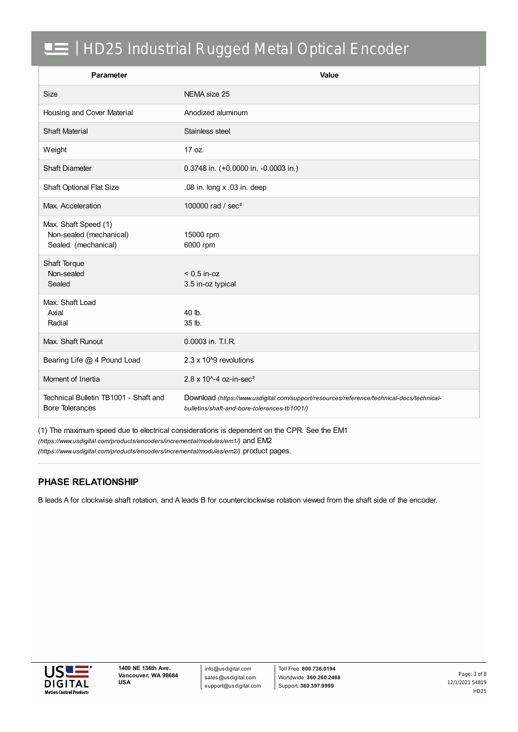| Parameter                                                              | Value                                                                                                                                     |
|------------------------------------------------------------------------|-------------------------------------------------------------------------------------------------------------------------------------------|
| <b>Size</b>                                                            | NEMA size 25                                                                                                                              |
| Housing and Cover Material                                             | Anodized aluminum                                                                                                                         |
| <b>Shaft Material</b>                                                  | Stainless steel                                                                                                                           |
| Weight                                                                 | 17 oz.                                                                                                                                    |
| <b>Shaft Diameter</b>                                                  | 0.3748 in. (+0.0000 in. -0.0003 in.)                                                                                                      |
| Shaft Optional Flat Size                                               | .08 in. long x .03 in. deep                                                                                                               |
| Max. Acceleration                                                      | 100000 rad / sec <sup>2</sup>                                                                                                             |
| Max. Shaft Speed (1)<br>Non-sealed (mechanical)<br>Sealed (mechanical) | 15000 rpm<br>6000 rpm                                                                                                                     |
| Shaft Torque<br>Non-sealed<br>Sealed                                   | $< 0.5$ in-oz<br>3.5 in-oz typical                                                                                                        |
| Max. Shaft Load<br>Axial<br>Radial                                     | 40 lb.<br>35 lb.                                                                                                                          |
| Max. Shaft Runout                                                      | 0.0003 in. T.I.R.                                                                                                                         |
| Bearing Life @ 4 Pound Load                                            | 2.3 x 10^9 revolutions                                                                                                                    |
| Moment of Inertia                                                      | $2.8 \times 10^{4} - 4$ oz-in-sec <sup>2</sup>                                                                                            |
| Technical Bulletin TB1001 - Shaft and<br><b>Bore Tolerances</b>        | Download (https://www.usdigital.com/support/resources/reference/technical-docs/technical-<br>bulletins/shaft-and-bore-tolerances-tb1001/) |

(1) The maximum speed due to electrical considerations is dependent on the CPR. See the EM1

*(https://www.usdigital.com/products/encoders/incremental/modules/em1/)* and EM2

*(https://www.usdigital.com/products/encoders/incremental/modules/em2/)* product pages.

### **PHASE RELATIONSHIP**

B leads A for clockwise shaft rotation, and A leads B for counterclockwise rotation viewed from the shaft side of the encoder.



info@usdigital.com sales@usdigital.com support@usdigital.com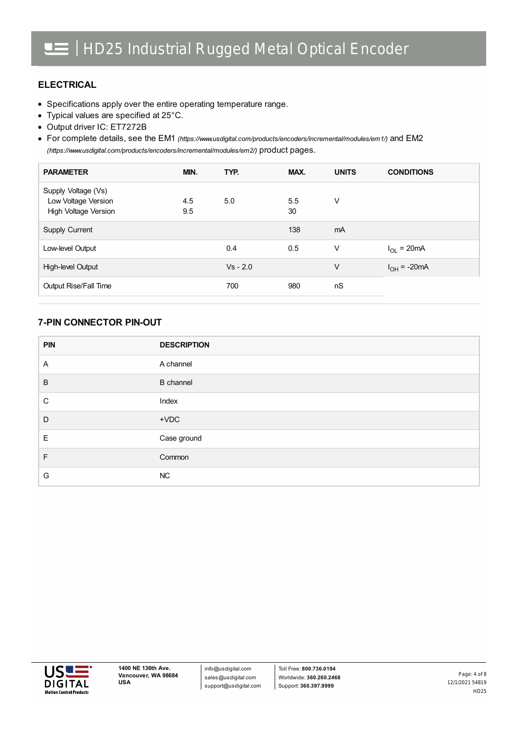### **ELECTRICAL**

- Specifications apply over the entire operating temperature range.
- Typical values are specified at 25°C.
- Output driver IC: ET7272B

For complete details, see the EM1 *[\(https://www.usdigital.com/products/encoders/incremental/modules/em1/\)](https://www.usdigital.com/products/encoders/incremental/modules/em1/)* and EM2 *(https://www.usdigital.com/products/encoders/incremental/modules/em2/)* product pages.

| <b>PARAMETER</b>                                                   | MIN.       | TYP.       | MAX.      | <b>UNITS</b> | <b>CONDITIONS</b> |
|--------------------------------------------------------------------|------------|------------|-----------|--------------|-------------------|
| Supply Voltage (Vs)<br>Low Voltage Version<br>High Voltage Version | 4.5<br>9.5 | 5.0        | 5.5<br>30 | V            |                   |
| Supply Current                                                     |            |            | 138       | mA           |                   |
| Low-level Output                                                   |            | 0.4        | 0.5       | V            | $I_{OL}$ = 20mA   |
| High-level Output                                                  |            | $Vs - 2.0$ |           | V            | $I_{OH}$ = -20mA  |
| Output Rise/Fall Time                                              |            | 700        | 980       | nS           |                   |

### **7-PIN CONNECTOR PIN-OUT**

| <b>PIN</b>     | <b>DESCRIPTION</b> |
|----------------|--------------------|
| $\overline{A}$ | A channel          |
| B              | <b>B</b> channel   |
| C              | Index              |
| D              | $+VDC$             |
| Ε              | Case ground        |
| F.             | Common             |
| G              | NC                 |

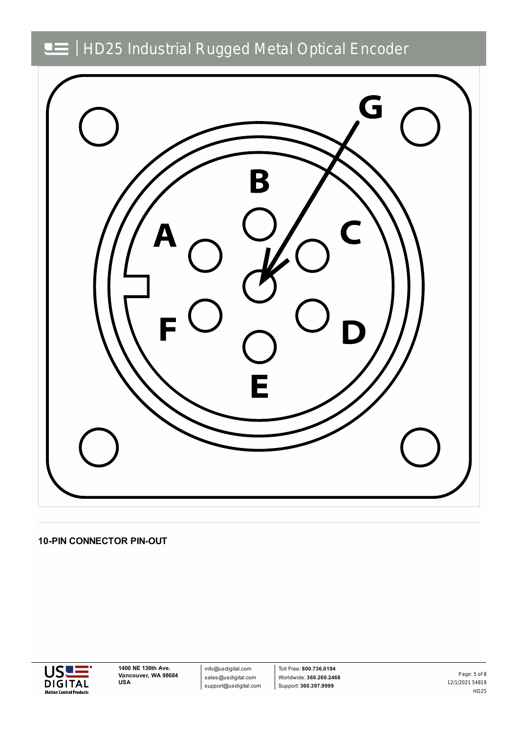

**10-PIN CONNECTOR PIN-OUT**



info@usdigital.com sales@usdigital.com support@usdigital.com

Toll Free: **800.736.0194** Worldwide: **360.260.2468** Support: **360.397.9999**

12/1/2021 54819 HD25 Page: 5 of 8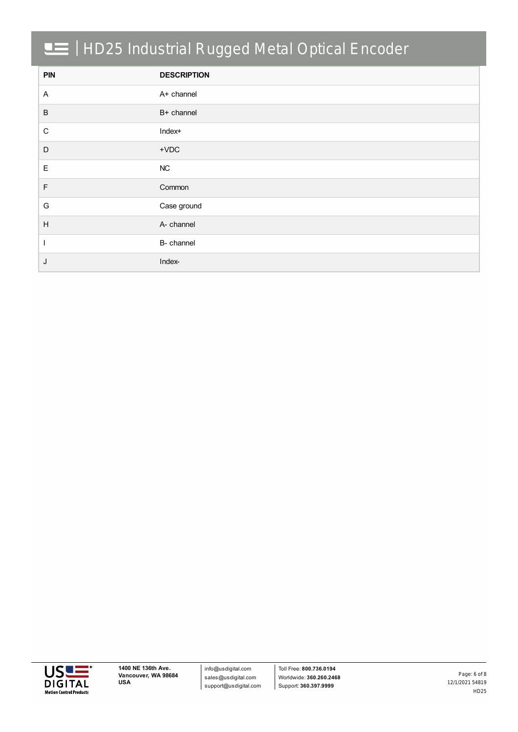| <b>PIN</b>                | <b>DESCRIPTION</b> |
|---------------------------|--------------------|
| $\mathsf{A}$              | A+ channel         |
| $\, {\sf B}$              | B+ channel         |
| ${\bf C}$                 | Index+             |
| D                         | $+VDC$             |
| $\mathsf E$               | NC                 |
| $\mathsf F$               | Common             |
| G                         | Case ground        |
| $\boldsymbol{\mathsf{H}}$ | A- channel         |
|                           | B- channel         |
| J                         | Index-             |

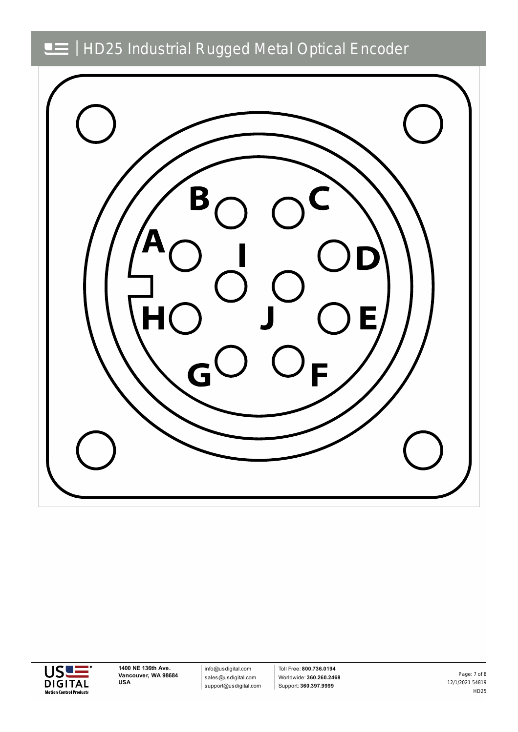



**1400 NE 136th Ave. Vancouver, WA 98684 USA**

info@usdigital.com sales@usdigital.com support@usdigital.com

Toll Free: **800.736.0194** Worldwide: **360.260.2468** Support: **360.397.9999**

12/1/2021 54819 HD25 Page: 7 of 8